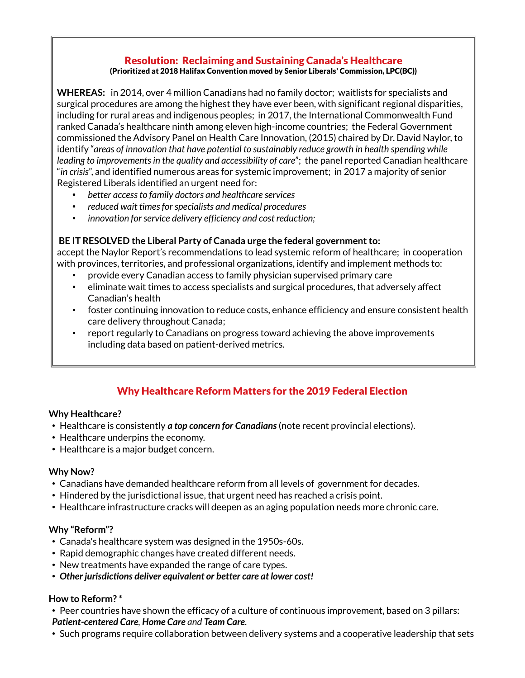#### Resolution: Reclaiming and Sustaining Canada's Healthcare (Prioritized at 2018 Halifax Convention moved by Senior Liberals' Commission, LPC(BC))

**WHEREAS:** in 2014, over 4 million Canadians had no family doctor; waitlists for specialists and surgical procedures are among the highest they have ever been, with significant regional disparities, including for rural areas and indigenous peoples; in 2017, the International Commonwealth Fund ranked Canada's healthcare ninth among eleven high-income countries; the Federal Government commissioned the Advisory Panel on Health Care Innovation, (2015) chaired by Dr. David Naylor, to identify "*areas of innovation that have potential to sustainably reduce growth in health spending while leading to improvements in the quality and accessibility of care*"; the panel reported Canadian healthcare "*in crisis*", and identified numerous areas for systemic improvement; in 2017 a majority of senior Registered Liberals identified an urgent need for:

- *better access to family doctors and healthcare services*
- *reduced wait times for specialists and medical procedures*
- *innovation for service delivery efficiency and cost reduction;*

### **BE IT RESOLVED the Liberal Party of Canada urge the federal government to:**

accept the Naylor Report's recommendations to lead systemic reform of healthcare; in cooperation with provinces, territories, and professional organizations, identify and implement methods to:

- provide every Canadian access to family physician supervised primary care
- eliminate wait times to access specialists and surgical procedures, that adversely affect Canadian's health
- foster continuing innovation to reduce costs, enhance efficiency and ensure consistent health care delivery throughout Canada;
- report regularly to Canadians on progress toward achieving the above improvements including data based on patient-derived metrics.

# Why Healthcare Reform Matters for the 2019 Federal Election

#### **Why Healthcare?**

- Healthcare is consistently *a top concern for Canadians* (note recent provincial elections).
- Healthcare underpins the economy.
- Healthcare is a major budget concern.

#### **Why Now?**

- Canadians have demanded healthcare reform from all levels of government for decades.
- Hindered by the jurisdictional issue, that urgent need has reached a crisis point.
- Healthcare infrastructure cracks will deepen as an aging population needs more chronic care.

#### **Why "Reform"?**

- Canada's healthcare system was designed in the 1950s-60s.
- Rapid demographic changes have created different needs.
- New treatments have expanded the range of care types.
- *Other jurisdictions deliver equivalent or better care at lower cost!*

#### **How to Reform? \***

- Peer countries have shown the efficacy of a culture of continuous improvement, based on 3 pillars: *Patient-centered Care, Home Care and Team Care.*
- Such programs require collaboration between delivery systems and a cooperative leadership that sets